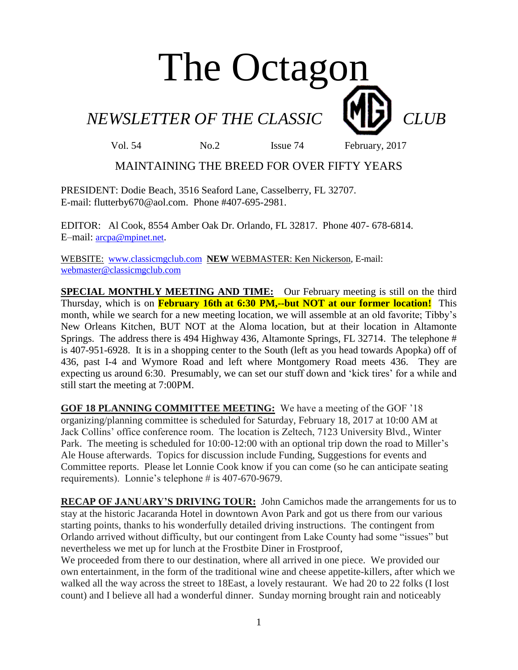# The Octagon

*NEWSLETTER OF THE CLASSIC CLUB* 

Vol. 54 No.2 Issue 74 February, 2017

# MAINTAINING THE BREED FOR OVER FIFTY YEARS

PRESIDENT: Dodie Beach, 3516 Seaford Lane, Casselberry, FL 32707. E-mail: flutterby670@aol.com. Phone #407-695-2981.

EDITOR: Al Cook, 8554 Amber Oak Dr. Orlando, FL 32817. Phone 407- 678-6814. E–mail: [arcpa@mpinet.net](mailto:arcpa@mpinet.net).

WEBSITE: [www.classicmgclub.com](http://www.classicmgclub.com/) **NEW** WEBMASTER: Ken Nickerson, E-mail: [webmaster@classicmgclub.com](mailto:webmaster@classicmgclub.com)

**SPECIAL MONTHLY MEETING AND TIME:** Our February meeting is still on the third Thursday, which is on **February 16th at 6:30 PM,--but NOT at our former location!** This month, while we search for a new meeting location, we will assemble at an old favorite; Tibby's New Orleans Kitchen, BUT NOT at the Aloma location, but at their location in Altamonte Springs. The address there is 494 Highway 436, Altamonte Springs, FL 32714. The telephone # is 407-951-6928. It is in a shopping center to the South (left as you head towards Apopka) off of 436, past I-4 and Wymore Road and left where Montgomery Road meets 436. They are expecting us around 6:30. Presumably, we can set our stuff down and 'kick tires' for a while and still start the meeting at 7:00PM.

**GOF 18 PLANNING COMMITTEE MEETING:** We have a meeting of the GOF '18 organizing/planning committee is scheduled for Saturday, February 18, 2017 at 10:00 AM at Jack Collins' office conference room. The location is Zeltech, 7123 University Blvd., Winter Park. The meeting is scheduled for 10:00-12:00 with an optional trip down the road to Miller's Ale House afterwards. Topics for discussion include Funding, Suggestions for events and Committee reports. Please let Lonnie Cook know if you can come (so he can anticipate seating requirements). Lonnie's telephone # is 407-670-9679.

**RECAP OF JANUARY'S DRIVING TOUR:** John Camichos made the arrangements for us to stay at the historic Jacaranda Hotel in downtown Avon Park and got us there from our various starting points, thanks to his wonderfully detailed driving instructions. The contingent from Orlando arrived without difficulty, but our contingent from Lake County had some "issues" but nevertheless we met up for lunch at the Frostbite Diner in Frostproof,

We proceeded from there to our destination, where all arrived in one piece. We provided our own entertainment, in the form of the traditional wine and cheese appetite-killers, after which we walked all the way across the street to 18East, a lovely restaurant. We had 20 to 22 folks (I lost count) and I believe all had a wonderful dinner. Sunday morning brought rain and noticeably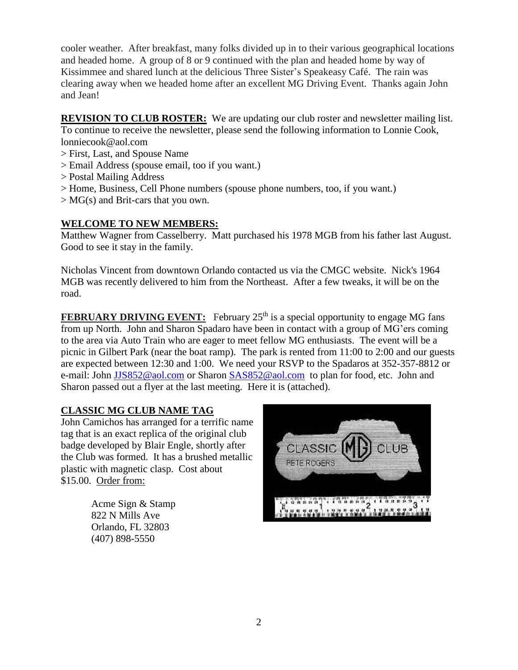cooler weather. After breakfast, many folks divided up in to their various geographical locations and headed home. A group of 8 or 9 continued with the plan and headed home by way of Kissimmee and shared lunch at the delicious Three Sister's Speakeasy Café. The rain was clearing away when we headed home after an excellent MG Driving Event. Thanks again John and Jean!

**REVISION TO CLUB ROSTER:** We are updating our club roster and newsletter mailing list. To continue to receive the newsletter, please send the following information to Lonnie Cook, lonniecook@aol.com

- > First, Last, and Spouse Name
- > Email Address (spouse email, too if you want.)
- > Postal Mailing Address
- > Home, Business, Cell Phone numbers (spouse phone numbers, too, if you want.)
- > MG(s) and Brit-cars that you own.

#### **WELCOME TO NEW MEMBERS:**

Matthew Wagner from Casselberry. Matt purchased his 1978 MGB from his father last August. Good to see it stay in the family.

Nicholas Vincent from downtown Orlando contacted us via the CMGC website. Nick's 1964 MGB was recently delivered to him from the Northeast. After a few tweaks, it will be on the road.

**FEBRUARY DRIVING EVENT:** February 25<sup>th</sup> is a special opportunity to engage MG fans from up North. John and Sharon Spadaro have been in contact with a group of MG'ers coming to the area via Auto Train who are eager to meet fellow MG enthusiasts. The event will be a picnic in Gilbert Park (near the boat ramp). The park is rented from 11:00 to 2:00 and our guests are expected between 12:30 and 1:00. We need your RSVP to the Spadaros at 352-357-8812 or e-mail: John [JJS852@aol.com](mailto:JJS852@aol.com) or Sharon [SAS852@aol.com](mailto:SAS852@aol.com) to plan for food, etc. John and Sharon passed out a flyer at the last meeting. Here it is (attached).

### **CLASSIC MG CLUB NAME TAG**

John Camichos has arranged for a terrific name tag that is an exact replica of the original club badge developed by Blair Engle, shortly after the Club was formed. It has a brushed metallic plastic with magnetic clasp. Cost about \$15.00. Order from:

> Acme Sign & Stamp 822 N Mills Ave Orlando, FL 32803 [\(407\) 898-5550](javascript:void(0))